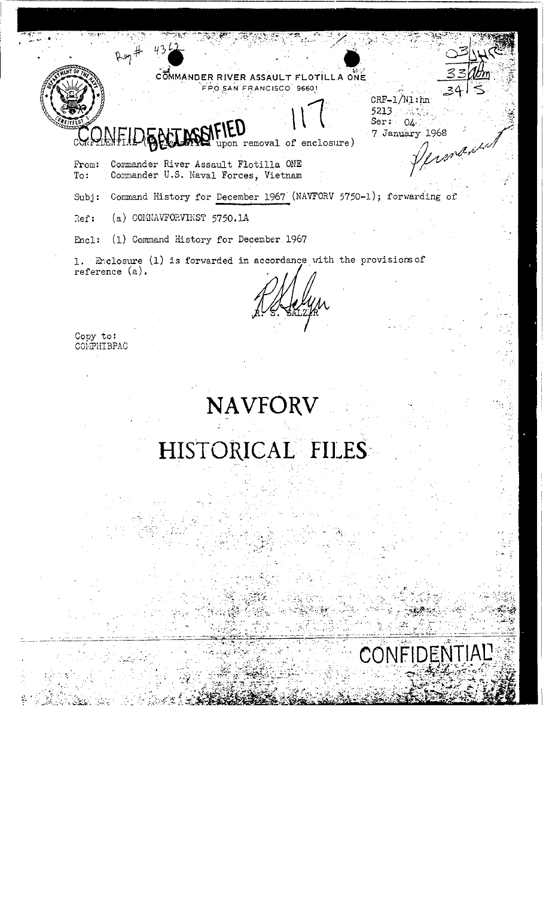COMMANDER RIVER ASSAULT FLOTILLA ONE FPO SAN FRANCISCO 96601  $CRF-1/N1:$ hn

 $5213 -$ 

Ser:  $04$ 7 January 1968

 $\begin{array}{c} \mathcal{L}_{\mathcal{A}} \left( \mathcal{M} \right) \mathcal{L}_{\mathcal{A}} \\ \mathcal{L}_{\mathcal{A}} \left( \mathcal{M} \right) \mathcal{L}_{\mathcal{A}} \left( \mathcal{M} \right) \end{array}$ 

en pr

## pon removal of enclosure)

 $\rho$ og #

 $\texttt{From:}$ Commander River Assault Flotilla ONE To: Commander U.S. Naval Forces, Vietnam

Command History for December 1967 (NAVFORV 5750-1); forwarding of  $Subj:$ 

 $(a)$  COMNAVFORVINST 5750.14 Ref:

(1) Command History for December 1967 Encl:

1. Enclosure (1) is forwarded in accordance with the provisions of reference (a).

Copy to:<br>COMPHIBPAC

÷

# HISTORICAL FILES

**NAVFORV**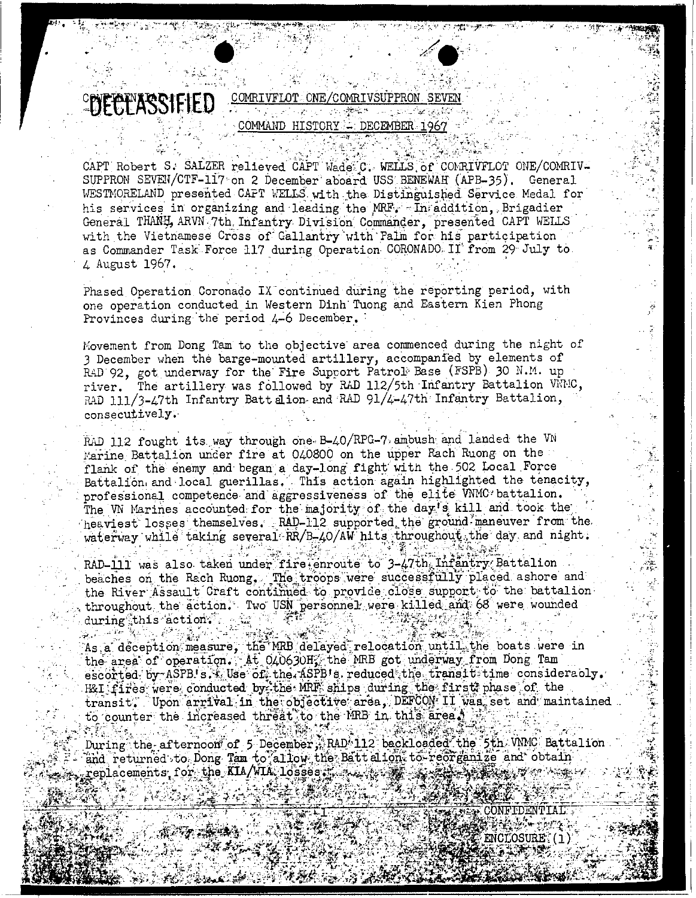

CAPT Robert S. SALZER relieved CAPT Wade C. WELLS of COMRIVFLOT ONE/COMRIV-SUPPRON SEVEN/CTF-117 on 2 December aboard USS BENEWAH (APB-35). General WESTMORELAND presented CAFT WELLS with the Distinguished Service Medal for his services in organizing and leading the MRF. In addition, Brigadier General THANH, ARVN 7th. Infantry Division Commander, presented CAPT WELLS with the Vietnamese Cross of Gallantry with Palm for his participation as Commander Task Force 117 during Operation CORONADO II from 29 July to 4 August 1967.

Phased Operation Coronado IX continued during the reporting period, with one operation conducted in Western Dinh Tuong and Eastern Kien Phong Provinces during the period 4-6 December.

Movement from Dong Tam to the objective area commenced during the night of 3 December when the barge-mounted artillery, accompanied by elements of RAD 92, got underway for the Fire Support Patrol Base (FSPB) 30 N.M. up river. The artillery was followed by RAD 112/5th Infantry Battalion VNNC, RAD 111/3-47th Infantry Batt alion and RAD 91/4-47th Infantry Battalion, consecutively.

RAD 112 fought its way through one B-40/RPG-7 ambush and landed the VN Marine Battalion under fire at 040800 on the upper Rach Ruong on the flank of the enemy and began a day-long fight with the 502 Local Force Battalion and local guerillas. This action again highlighted the tenacity. professional competence and aggressiveness of the elite VNMC battalion. The VN Marines accounted for the majority of the day's kill and took the heaviest losses themselves. RAD-112 supported the ground maneuver from the waterway while taking several RR/B-40/AW hits throughout the day and night.

RAD-111 was also taken under fire enroute to 3-47th Infantry Battalion beaches on the Rach Ruong. The troops were successfully placed ashore and the River Assault Craft continued to provide close support to the battalion throughout the action. Two USN personnel were killed and 68 were wounded during this action. . . . . .

المهافة معاشرتها والمحا

 $\sim e^{2\pi \tau}$ 

ី ម៉ូម As a deception measure, the MRB delayed relocation until the boats were in the area of operation. At 040630H, the MRB got underway from Dong Tam escorted by ASPB's. Use of the ASPB's reduced the transit time considerably. H&I fires were conducted by the MRF ships during the first phase of the transit. Upon arrival in the objective area, DEFCON II was set and maintained to counter the increased threat to the MRB in this areal entification is a constant 三彩影

During the afternoon of 5 December, RAD 112 backloaded the 5th WMC Battalion and returned to Dong Tam to allow the Batt align to reorganize and obtain replacements for the KIA/WIA losses from the sea from the As

ENCLOSURE (1)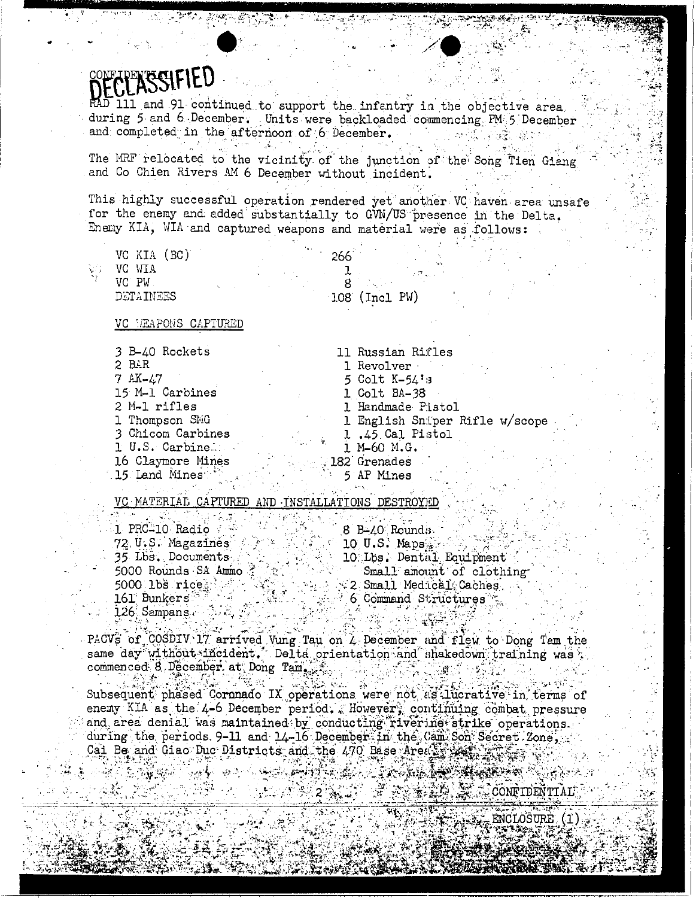### **ESSIFIED**

and 91 continued to support the infentry in the objective area. during 5 and 6 December. Units were backloaded commencing PM 5 December and completed in the afternoon of 6 December.

The MRF relocated to the vicinity of the junction of the Song Tien Giang and Co Chien Rivers AM 6 December without incident.

This highly successful operation rendered yet another VC haven area unsafe for the enemy and added substantially to GVN/US presence in the Delta. Enery KIA, WIA and captured weapons and material were as follows:

| <b>Color</b><br>VC WIA<br>an Propinsi<br>VC PW<br>$108$ (Incl PW)<br>DETAINEES | VC KIA (BC) |  | ٠.<br>266 |  |  |
|--------------------------------------------------------------------------------|-------------|--|-----------|--|--|
|                                                                                |             |  |           |  |  |
|                                                                                |             |  |           |  |  |
|                                                                                |             |  |           |  |  |

#### VC MEAPONS CAPTURED

3 B-40 Rockets 2 BAR  $7 A K - 47$ 15 M-1 Carbines 2 M-1 rifles 1 Thompson SMG 3 Chicom Carbines 1 U.S. Carbine. 16 Claymore Mines 15 Land Mines

11 Russian Rifles 1 Revolver 5 Colt K-54's 1 Colt BA-38 1 Handmade Pistol 1 English Sniper Rifle w/scope 1.45 Cal Pistol 1 M-60 M.G. 182 Grenades

5 AP Mines

VC MATERIAL CAPTURED AND INSTALLATIONS DESTROYED

| 1 PRC-10 Radio<br>8 B-40 Rounds                                        |
|------------------------------------------------------------------------|
| 72. U.S. Magazines<br>$10$ U.S. Maps $\sim$                            |
| 10 Lbs. Dental Equipment<br>35 Lbs. Documents                          |
| 5000 Rounds SA Ammo<br>Small amount of clothing<br>$\gamma^{\prime}$ . |
| 5000 1bs rices<br>$\sim$ 2 Small Medical Caches.                       |
| 161 Bunkers<br>$\sim$ 6 Command Structures $\sim$                      |
| $126$ Sampans $\ldots$ ,                                               |

PACVS of COSDIV 17 arrived Vung Tau on 4 December and flew to Dong Tam the same day without incident. Delta orientation and shakedown training was a **2019年7月1日** 

14 (144 Great Constantino Co Subsequent phased Coronado IX operations were not as lucrative in terms of enemy KIA as the 4-6 December period. Elowever, continuing combat pressure and area denial was maintained by conducting rivering strike operations. during the periods 9-11 and 14-16 December in the Cam Son Secret Zone, Cai Be and Giao Duc Districts and the 470 Base Area in the street

化铁油量

CONFIDENTIALY

ENCLOSURE (1)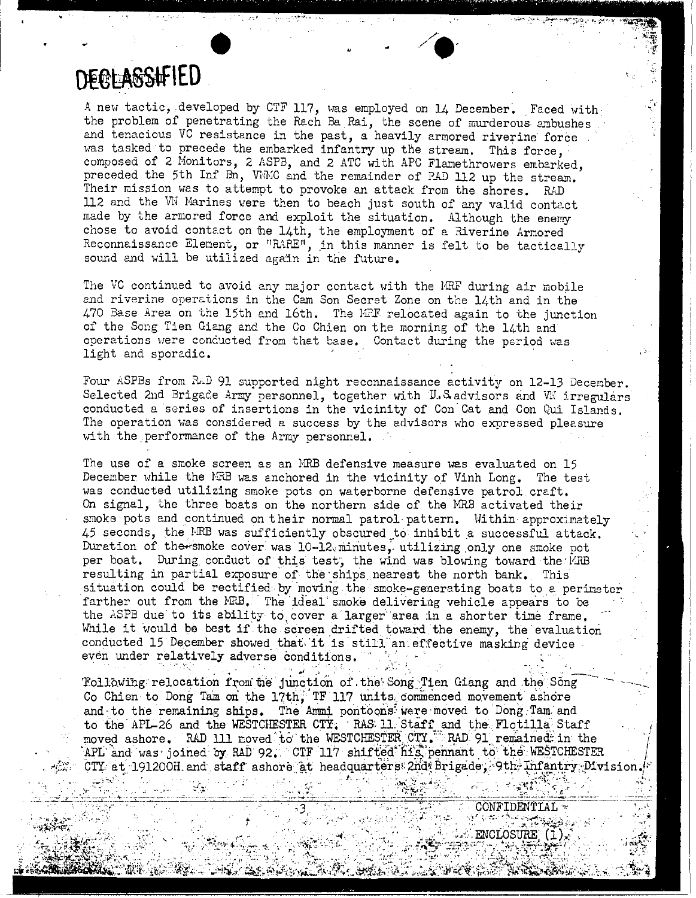

A new tactic, developed by CTF 117, was employed on 14 December. Faced with the problem of penetrating the Rach Ba Rai, the scene of murderous ambushes and tenacious VC resistance in the past, a heavily armored riverine force was tasked to precede the embarked infantry up the stream. This force, composed of 2 Monitors, 2 ASPB, and 2 ATC with APC Flamethrowers embarked, preceded the 5th Inf Bn, WMC and the remainder of RAD 112 up the stream. Their mission was to attempt to provoke an attack from the shores. RAD 112 and the WW Marines were then to beach just south of any valid contact made by the armored force and exploit the situation. Although the enemy chose to avoid contact on the 14th, the employment of a Riverine Armored Reconnaissance Element, or "RARE", in this manner is felt to be tactically sound and will be utilized again in the future.

The VC continued to avoid any major contact with the MRF during air mobile and riverine operations in the Cam Son Secret Zone on the  $14$ th and in the 470 Base Area on the 15th and 16th. The MEF relocated again to the junction of the Song Tien Giang and the Co Chien on the morning of the  $14$ th and operations were conducted from that base. Contact during the period was light and sporadic.

Four ASPBs from RAD 91 supported night reconnaissance activity on 12-13 December. Selected 2nd Brigade Army personnel, together with  $U.S$  advisors and  $W$  irregulars conducted a series of insertions in the vicinity of Con'Cat and Con Qui Islands. The operation was considered a success by the advisors who expressed pleasure with the performance of the Army personnel.

The use of a smoke screen as an MRB defensive measure was evaluated on 15 December while the  $H\rightarrow$  was anchored in the vicinity of Vinh Long. The test was conducted utilizing smoke pots on waterborne defensive patrol craft. On signal, the three boats on the northern side of the MRB activated their smoke pots and continued on their normal patrol pattern. Within approximately 45 seconds, the IRB was sufficiently obscured to inhibit a successful attack. Duration of the smoke cover was 10-12 minutes, utilizing only one smoke pot per boat. During conduct of this test, the wind was blowing toward the MRB resulting in partial exposure'of the 'ships nearest the north bank. This situation could be rectified by moving the smoke-generating boats to a perineter farther out from the HRB. The ideal smoke delivering vehicle appears to be the ASPB due to its ability to cover a larger area in a shorter time frame. While it would be best if the screen drifted toward the enemy, the evaluation conducted 15 December showed that, 'it is' still an. effective masking device even under relatively adverse conditions.' ' . .. , . . ~'. ""- .," . "'';' .. :- '''','",", ',-.- -:-

Tollowing relocation from the junction of the Song Tien Giang and the Song Co Chien to Dong Tam on the 17th, TF 117 units commenced movement ashore and to the remaining ships. The Ammi pontoons were moved to Dong Tam and to the APL-26 and the WESTCHESTER CTY. RAS 11. Staff and the Flotilla Staff moved ashore. RAD 111 moved to the WESTCHESTER CTY. RAD 91 remained in the APL and was joined by RAD 92; CTF  $117$  shifted his pennant to the WESTCHESTER CIY at 191200H and staff ashore at headquarters 2nd Brigade, 9th Infantry Division.

,,'.:-' ".'.. . ",'/. .,~ ,,;. .,~r· ;,,'!';.' .. .:.. .. ..' ,".---:' ~\';.:>il;', I .• ,'. " .. :.... .J!!.

,~ .'

 $\mathcal{L} = \left\{ \begin{array}{ll} \mathcal{L} & \mathcal{L} \cup \mathcal{L} \cup \mathcal{L} \cup \mathcal{L} \cup \mathcal{L} \cup \mathcal{L} \cup \mathcal{L} \cup \mathcal{L} \cup \mathcal{L} \cup \mathcal{L} \cup \mathcal{L} \cup \mathcal{L} \cup \mathcal{L} \cup \mathcal{L} \cup \mathcal{L} \cup \mathcal{L} \cup \mathcal{L} \cup \mathcal{L} \cup \mathcal{L} \cup \mathcal{L} \cup \mathcal{L} \cup \mathcal{L} \cup \mathcal{L} \cup \mathcal{L} \cup \mathcal$ 

أمنته فجاولتك والمتعاطف

 $\begin{array}{ccc} \texttt{CONTIDENTIAL} \ \texttt{1} & \texttt{2} & \texttt{3} & \texttt{2} \end{array}$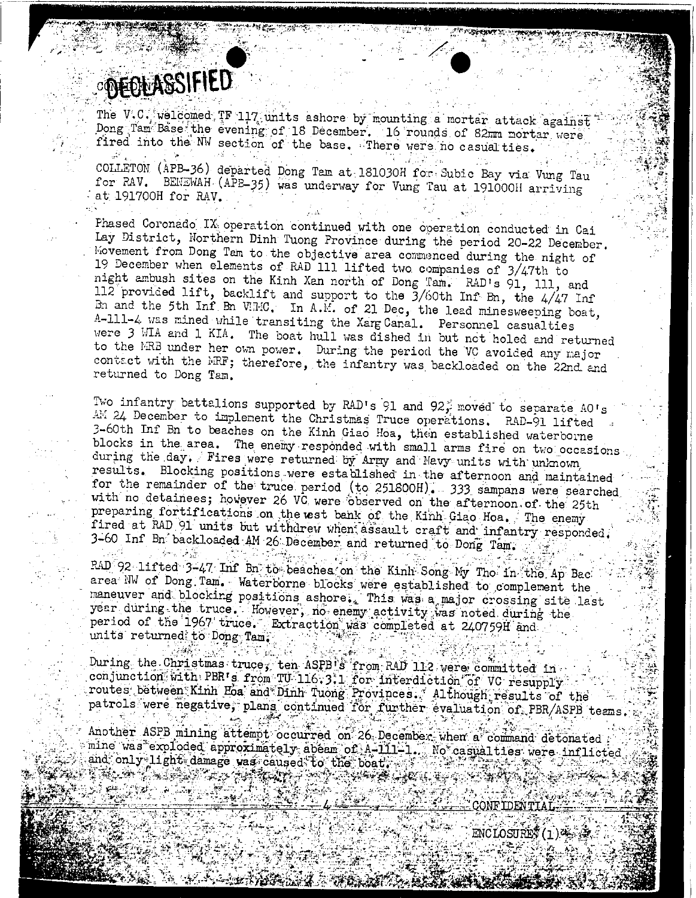### OPEOLASSIFIED

승규는 일어 준다

The V.C. welcomed IF 117 units ashore by mounting a mortar attack against Dong Tam Base the evening of 18 December. 16 rounds of 82mm mortar were fired into the NW section of the base. There were no casual ties.

COLLETON (APB-36) departed Dong Tam at 181030H for Subic Bay via Vung Tau for RAV. BENEWAH (APB-35) was underway for Vung Tau at 191000H arriving at 191700H for RAV.

Phased Coronado IX operation continued with one operation conducted in Cai Lay District, Northern Dinh Tuong Province during the period 20-22 December. Movement from Dong Tam to the objective area commenced during the night of 19 December when elements of RAD 111 lifted two companies of 3/47th to night ambush sites on the Kinh Xan north of Dong Tam. RAD's 91, 111, and 112 provided lift, backlift and support to the  $3/60$ th Inf Bn, the  $4/47$  Inf Bn and the 5th Inf Bn VRIC. In A.M. of 21 Dec, the lead minesweeping boat, A-111-4 was mined while transiting the Xarg Canal. Personnel casualties were 3 WIA and 1 KIA. The boat hull was dished in but not holed and returned to the MRB under her own power. During the period the VC avoided any major contact with the MRF; therefore, the infantry was backloaded on the 22nd and returned to Dong Tam.

Two infantry battalions supported by RAD's 91 and 92; moved to separate AO's AM 24 December to implement the Christmas Truce operations. RAD-91 lifted 3-60th Inf Bn to beaches on the Kinh Giao Hoa, then established waterborne blocks in the area. The enemy responded with small arms fire on two occasions during the day. Fires were returned by Army and Mavy units with unknown results. Blocking positions were established in the afternoon and maintained for the remainder of the truce period (to 251800H). 333 sampans were searched with no detainees; however 26 VC were observed on the afternoon of the 25th preparing fortifications on the est bank of the Kinh Giao Hoa. The enemy fired at RAD 91 units but withdrew when assault craft and infantry responded. 3-60 Inf Bn backloaded AM 26 December and returned to Dong Tam.

RAD 92 lifted 3-47 Inf Bn to beaches on the Kinh Song My Tho in the Ap Bac area NW of Dong Tam. Waterborne blocks were established to complement the maneuver and blocking positions ashore. This was a major crossing site last year during the truce. However, no enemy activity was noted during the period of the 1967 truce. Extraction was completed at 240759H and units returned to Dong Tam.

During the Christmas truce, ten ASPB s from RAD 112 vere committed in conjunction with PBR's from TU 16.3.1 for interdiction of VC resupply. routes between Kinh Eoa and Dinh Tuong Provinces. Although results of the patrols were negative, plans continued for further evaluation of PBR/ASPB teams

Another ASPB mining attempt occurred on 26 December when a command detonated mine was exploded approximately abeam of A-111-1. Not casualties were inflicted and only light damage was caused to the boat. 

ENCLOSURE (1)

JONE LDEN T